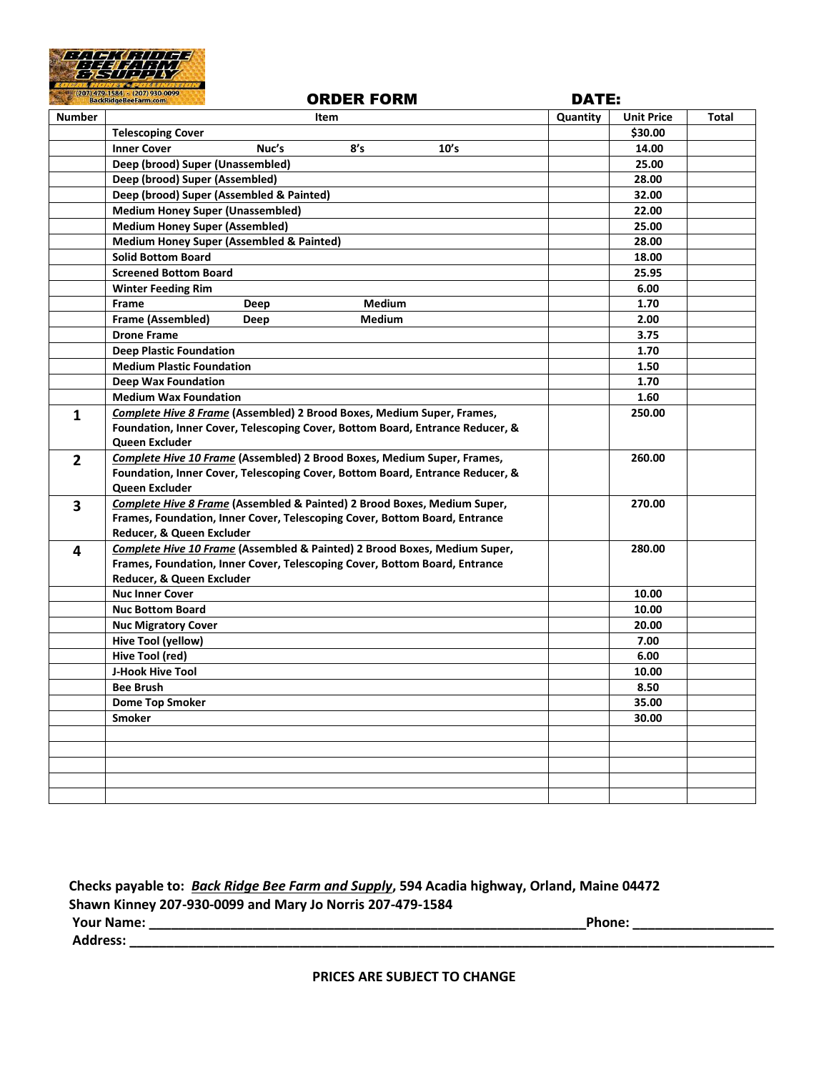

|                | (207) 479-1584 c (207) 930-0099<br>BackRidgeBeeFarm.com<br><b>ORDER FORM</b>        | <b>DATE:</b> |                   |       |
|----------------|-------------------------------------------------------------------------------------|--------------|-------------------|-------|
| <b>Number</b>  | Item                                                                                | Quantity     | <b>Unit Price</b> | Total |
|                | <b>Telescoping Cover</b>                                                            |              | \$30.00           |       |
|                | <b>Inner Cover</b><br>Nuc's<br>8's<br>10's                                          |              | 14.00             |       |
|                | Deep (brood) Super (Unassembled)                                                    |              | 25.00             |       |
|                | Deep (brood) Super (Assembled)                                                      |              | 28.00             |       |
|                | Deep (brood) Super (Assembled & Painted)                                            |              | 32.00             |       |
|                | <b>Medium Honey Super (Unassembled)</b>                                             |              | 22.00             |       |
|                | <b>Medium Honey Super (Assembled)</b>                                               |              | 25.00             |       |
|                | <b>Medium Honey Super (Assembled &amp; Painted)</b>                                 |              | 28.00             |       |
|                | <b>Solid Bottom Board</b>                                                           |              | 18.00             |       |
|                | <b>Screened Bottom Board</b>                                                        |              | 25.95             |       |
|                | <b>Winter Feeding Rim</b>                                                           |              | 6.00              |       |
|                | Frame<br>Medium<br>Deep                                                             |              | 1.70              |       |
|                | <b>Frame (Assembled)</b><br>Medium<br>Deep                                          |              | 2.00              |       |
|                | <b>Drone Frame</b>                                                                  |              | 3.75              |       |
|                | <b>Deep Plastic Foundation</b>                                                      |              | 1.70              |       |
|                | <b>Medium Plastic Foundation</b>                                                    |              | 1.50              |       |
|                | <b>Deep Wax Foundation</b>                                                          |              | 1.70              |       |
|                | <b>Medium Wax Foundation</b>                                                        |              | 1.60              |       |
| 1              | <b>Complete Hive 8 Frame (Assembled) 2 Brood Boxes, Medium Super, Frames,</b>       |              | 250.00            |       |
|                | Foundation, Inner Cover, Telescoping Cover, Bottom Board, Entrance Reducer, &       |              |                   |       |
|                | Queen Excluder                                                                      |              |                   |       |
| $\overline{2}$ | <b>Complete Hive 10 Frame (Assembled) 2 Brood Boxes, Medium Super, Frames,</b>      |              | 260.00            |       |
|                | Foundation, Inner Cover, Telescoping Cover, Bottom Board, Entrance Reducer, &       |              |                   |       |
|                | Queen Excluder                                                                      |              |                   |       |
| 3              | <b>Complete Hive 8 Frame (Assembled &amp; Painted) 2 Brood Boxes, Medium Super,</b> |              | 270.00            |       |
|                | Frames, Foundation, Inner Cover, Telescoping Cover, Bottom Board, Entrance          |              |                   |       |
|                | Reducer, & Queen Excluder                                                           |              |                   |       |
| 4              | Complete Hive 10 Frame (Assembled & Painted) 2 Brood Boxes, Medium Super,           |              | 280.00            |       |
|                | Frames, Foundation, Inner Cover, Telescoping Cover, Bottom Board, Entrance          |              |                   |       |
|                | Reducer, & Queen Excluder                                                           |              |                   |       |
|                | <b>Nuc Inner Cover</b>                                                              |              | 10.00             |       |
|                | <b>Nuc Bottom Board</b>                                                             |              | 10.00             |       |
|                | <b>Nuc Migratory Cover</b>                                                          |              | 20.00             |       |
|                | Hive Tool (yellow)                                                                  |              | 7.00              |       |
|                | Hive Tool (red)                                                                     |              | 6.00              |       |
|                | J-Hook Hive Tool                                                                    |              | 10.00             |       |
|                | <b>Bee Brush</b>                                                                    |              | 8.50              |       |
|                | <b>Dome Top Smoker</b>                                                              |              | 35.00             |       |
|                | Smoker                                                                              |              | 30.00             |       |
|                |                                                                                     |              |                   |       |
|                |                                                                                     |              |                   |       |
|                |                                                                                     |              |                   |       |
|                |                                                                                     |              |                   |       |
|                |                                                                                     |              |                   |       |

| Checks payable to: Back Ridge Bee Farm and Supply, 594 Acadia highway, Orland, Maine 04472 |        |  |  |  |
|--------------------------------------------------------------------------------------------|--------|--|--|--|
| Shawn Kinney 207-930-0099 and Mary Jo Norris 207-479-1584                                  |        |  |  |  |
| <b>Your Name:</b>                                                                          | Phone: |  |  |  |
| <b>Address:</b>                                                                            |        |  |  |  |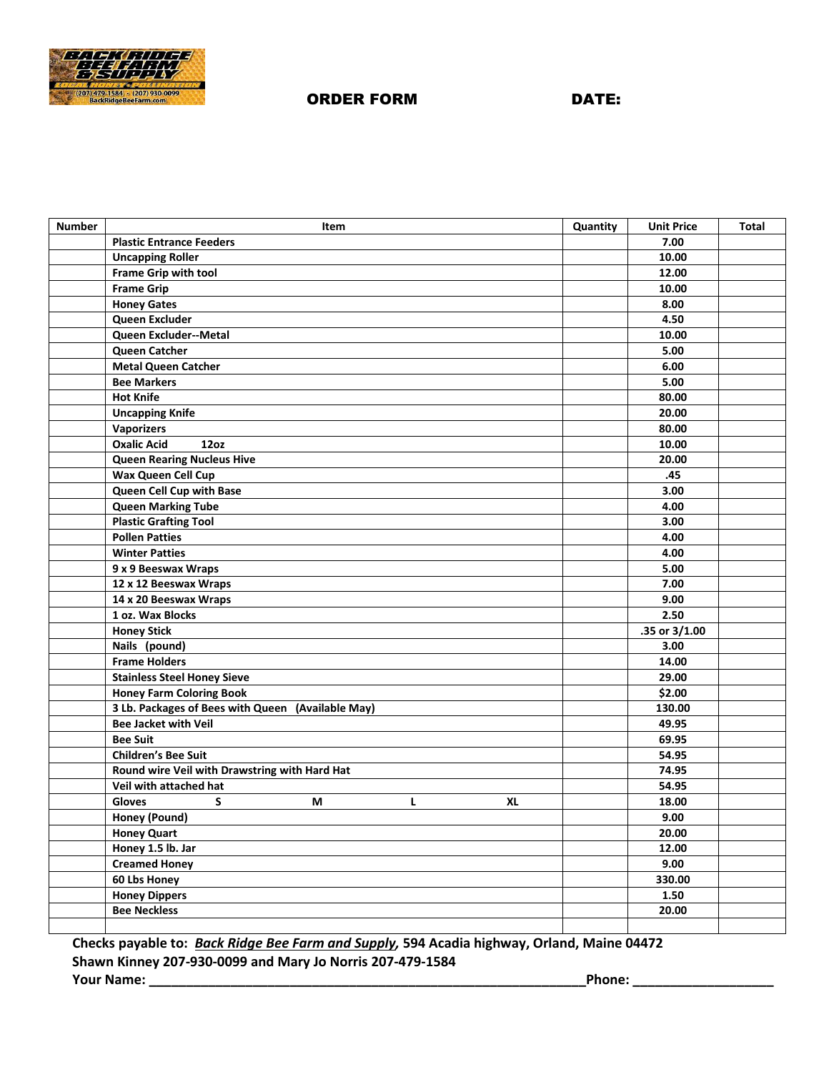

## ORDER FORM DATE:

| <b>Number</b> | Item                                              | Quantity | <b>Unit Price</b> | <b>Total</b> |
|---------------|---------------------------------------------------|----------|-------------------|--------------|
|               | <b>Plastic Entrance Feeders</b>                   |          | 7.00              |              |
|               | <b>Uncapping Roller</b>                           |          | 10.00             |              |
|               | Frame Grip with tool                              |          | 12.00             |              |
|               | <b>Frame Grip</b>                                 |          | 10.00             |              |
|               | <b>Honey Gates</b>                                |          | 8.00              |              |
|               | Queen Excluder                                    |          | 4.50              |              |
|               | Queen Excluder--Metal                             |          | 10.00             |              |
|               | Queen Catcher                                     |          | 5.00              |              |
|               | <b>Metal Queen Catcher</b>                        |          | 6.00              |              |
|               | <b>Bee Markers</b>                                |          | 5.00              |              |
|               | <b>Hot Knife</b>                                  |          | 80.00             |              |
|               | <b>Uncapping Knife</b>                            |          | 20.00             |              |
|               | <b>Vaporizers</b>                                 |          | 80.00             |              |
|               | <b>Oxalic Acid</b><br>12oz                        |          | 10.00             |              |
|               | <b>Queen Rearing Nucleus Hive</b>                 |          | 20.00             |              |
|               | Wax Queen Cell Cup                                |          | .45               |              |
|               | Queen Cell Cup with Base                          |          | 3.00              |              |
|               | <b>Queen Marking Tube</b>                         |          | 4.00              |              |
|               | <b>Plastic Grafting Tool</b>                      |          | 3.00              |              |
|               | <b>Pollen Patties</b>                             |          | 4.00              |              |
|               | <b>Winter Patties</b>                             |          | 4.00              |              |
|               | 9 x 9 Beeswax Wraps                               |          | 5.00              |              |
|               | 12 x 12 Beeswax Wraps                             |          | 7.00              |              |
|               | 14 x 20 Beeswax Wraps                             |          | 9.00              |              |
|               | 1 oz. Wax Blocks                                  |          | 2.50              |              |
|               | <b>Honey Stick</b>                                |          | .35 or 3/1.00     |              |
|               | Nails (pound)                                     |          | 3.00              |              |
|               | <b>Frame Holders</b>                              |          | 14.00             |              |
|               | <b>Stainless Steel Honey Sieve</b>                |          | 29.00             |              |
|               | <b>Honey Farm Coloring Book</b>                   |          | \$2.00            |              |
|               | 3 Lb. Packages of Bees with Queen (Available May) |          | 130.00            |              |
|               | <b>Bee Jacket with Veil</b>                       |          | 49.95             |              |
|               | <b>Bee Suit</b>                                   |          | 69.95             |              |
|               | <b>Children's Bee Suit</b>                        |          | 54.95             |              |
|               | Round wire Veil with Drawstring with Hard Hat     |          | 74.95             |              |
|               | Veil with attached hat                            |          | 54.95             |              |
|               | <b>Gloves</b><br>М<br>L<br><b>XL</b><br>S         |          | 18.00             |              |
|               | Honey (Pound)                                     |          | 9.00              |              |
|               | <b>Honey Quart</b>                                |          | 20.00             |              |
|               | Honey 1.5 lb. Jar                                 |          | 12.00             |              |
|               | <b>Creamed Honey</b>                              |          | 9.00              |              |
|               | 60 Lbs Honey                                      |          | 330.00            |              |
|               | <b>Honey Dippers</b>                              |          | 1.50              |              |
|               | <b>Bee Neckless</b>                               |          | 20.00             |              |
|               |                                                   |          |                   |              |

 **Checks payable to:** *Back Ridge Bee Farm and Supply,* **594 Acadia highway, Orland, Maine 04472 Shawn Kinney 207-930-0099 and Mary Jo Norris 207-479-1584 Your Name: \_\_\_\_\_\_\_\_\_\_\_\_\_\_\_\_\_\_\_\_\_\_\_\_\_\_\_\_\_\_\_\_\_\_\_\_\_\_\_\_\_\_\_\_\_\_\_\_\_\_\_\_\_\_\_\_\_\_\_Phone: \_\_\_\_\_\_\_\_\_\_\_\_\_\_\_\_\_\_\_**